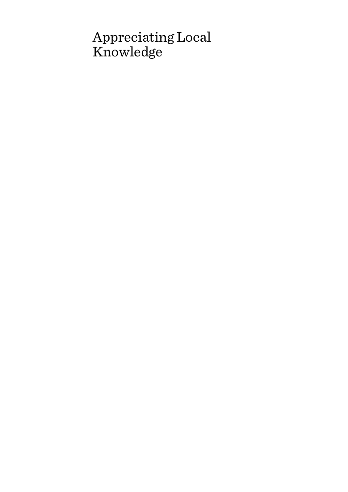# Appreciating Local Knowledge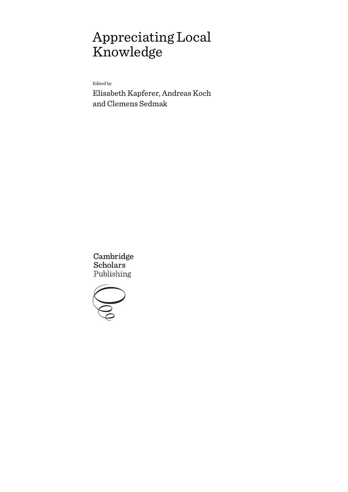# Appreciating Local Knowledge

Edited by

Elisabeth Kapferer, Andreas Koch and Clemens Sedmak

Cambridge **Scholars** Publishing

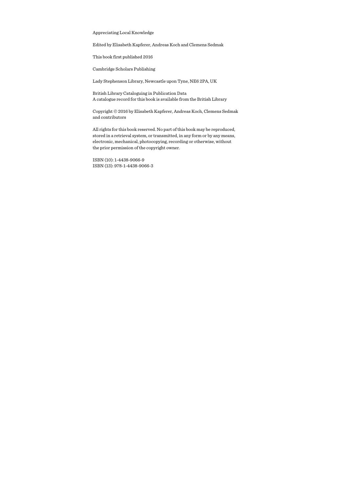Appreciating Local Knowledge

Edited by Elisabeth Kapferer, Andreas Koch and Clemens Sedmak

This book first published 2016

Cambridge Scholars Publishing

Lady Stephenson Library, Newcastle upon Tyne, NE6 2PA, UK

British Library Cataloguing in Publication Data A catalogue record for this book is available from the British Library

Copyright © 2016 by Elisabeth Kapferer, Andreas Koch, Clemens Sedmak and contributors

All rights for this book reserved. No part of this book may be reproduced, stored in a retrieval system, or transmitted, in any form or by any means, electronic, mechanical, photocopying, recording or otherwise, without the prior permission of the copyright owner.

ISBN (10): 1-4438-9066-9 ISBN (13): 978-1-4438-9066-3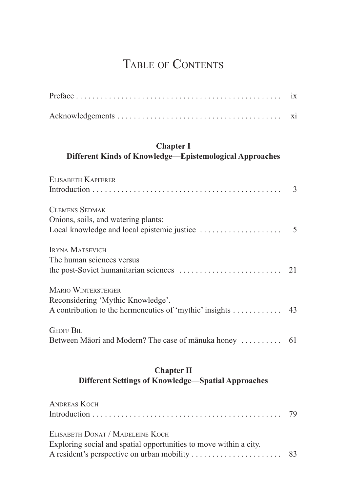## TABLE OF CONTENTS

|                                                                                                                               | $\overline{1}X$ |
|-------------------------------------------------------------------------------------------------------------------------------|-----------------|
|                                                                                                                               | xi              |
| <b>Chapter I</b><br>Different Kinds of Knowledge-Epistemological Approaches                                                   |                 |
| ELISABETH KAPFERER                                                                                                            |                 |
| <b>CLEMENS SEDMAK</b><br>Onions, soils, and watering plants:                                                                  |                 |
| <b>IRYNA MATSEVICH</b><br>The human sciences versus                                                                           | 21              |
| <b>MARIO WINTERSTEIGER</b><br>Reconsidering 'Mythic Knowledge'.<br>A contribution to the hermeneutics of 'mythic' insights 43 |                 |
| <b>GEOFF BIL</b>                                                                                                              |                 |

## **Chapter II Different Settings of Knowledge**—**Spatial Approaches**

| <b>ANDREAS KOCH</b>                                               |  |
|-------------------------------------------------------------------|--|
|                                                                   |  |
|                                                                   |  |
| ELISABETH DONAT / MADELEINE KOCH                                  |  |
| Exploring social and spatial opportunities to move within a city. |  |
|                                                                   |  |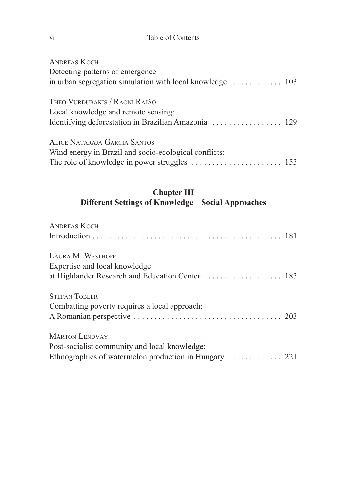#### Table of Contents

| <b>ANDREAS KOCH</b>                                      |  |
|----------------------------------------------------------|--|
| Detecting patterns of emergence                          |  |
| in urban segregation simulation with local knowledge 103 |  |
| THEO VURDUBAKIS / RAONI RAJÃO                            |  |
| Local knowledge and remote sensing:                      |  |
|                                                          |  |
| ALICE NATARAJA GARCIA SANTOS                             |  |
| Wind energy in Brazil and socio-ecological conflicts:    |  |
|                                                          |  |

#### **Chapter III Different Settings of Knowledge**—**Social Approaches**

| <b>ANDREAS KOCH</b>                              |  |
|--------------------------------------------------|--|
|                                                  |  |
| LAURA M. WESTHOFF                                |  |
| Expertise and local knowledge                    |  |
| at Highlander Research and Education Center  183 |  |
| <b>STEFAN TOBLER</b>                             |  |
| Combatting poverty requires a local approach:    |  |
|                                                  |  |
| <b>MÁRTON LENDVAY</b>                            |  |
| Post-socialist community and local knowledge:    |  |
|                                                  |  |

vi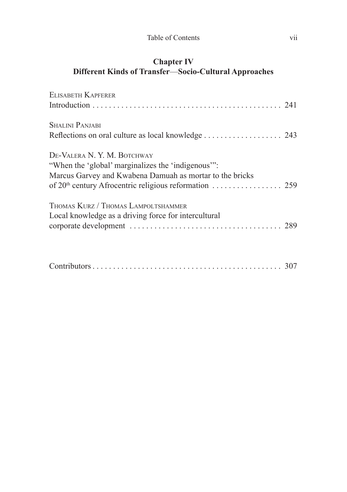#### **Chapter IV Different Kinds of Transfer**—**Socio-Cultural Approaches**

| ELISABETH KAPFERER                                       |  |
|----------------------------------------------------------|--|
|                                                          |  |
| <b>SHALINI PANJABI</b>                                   |  |
|                                                          |  |
| DE-VALERA N. Y. M. BOTCHWAY                              |  |
| "When the 'global' marginalizes the 'indigenous'":       |  |
| Marcus Garvey and Kwabena Damuah as mortar to the bricks |  |
|                                                          |  |
| Thomas Kurz / Thomas Lampoltshammer                      |  |
| Local knowledge as a driving force for intercultural     |  |
|                                                          |  |
|                                                          |  |
|                                                          |  |

|--|--|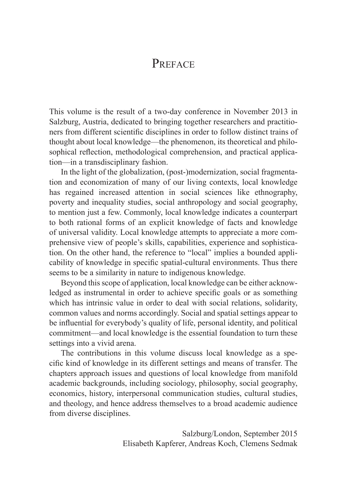## **PREFACE**

This volume is the result of a two-day conference in November 2013 in Salzburg, Austria, dedicated to bringing together researchers and practitioners from different scientific disciplines in order to follow distinct trains of thought about local knowledge—the phenomenon, its theoretical and philosophical reflection, methodological comprehension, and practical application—in a transdisciplinary fashion.

In the light of the globalization, (post-)modernization, social fragmentation and economization of many of our living contexts, local knowledge has regained increased attention in social sciences like ethnography, poverty and inequality studies, social anthropology and social geography, to mention just a few. Commonly, local knowledge indicates a counterpart to both rational forms of an explicit knowledge of facts and knowledge of universal validity. Local knowledge attempts to appreciate a more comprehensive view of people's skills, capabilities, experience and sophistication. On the other hand, the reference to "local" implies a bounded applicability of knowledge in specific spatial-cultural environments. Thus there seems to be a similarity in nature to indigenous knowledge.

Beyond this scope of application, local knowledge can be either acknowledged as instrumental in order to achieve specific goals or as something which has intrinsic value in order to deal with social relations, solidarity, common values and norms accordingly. Social and spatial settings appear to be influential for everybody's quality of life, personal identity, and political commitment—and local knowledge is the essential foundation to turn these settings into a vivid arena.

The contributions in this volume discuss local knowledge as a specific kind of knowledge in its different settings and means of transfer. The chapters approach issues and questions of local knowledge from manifold academic backgrounds, including sociology, philosophy, social geography, economics, history, interpersonal communication studies, cultural studies, and theology, and hence address themselves to a broad academic audience from diverse disciplines.

> Salzburg/London, September 2015 Elisabeth Kapferer, Andreas Koch, Clemens Sedmak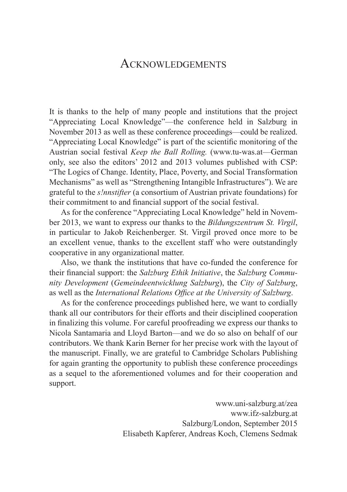## ACKNOWLEDGEMENTS

It is thanks to the help of many people and institutions that the project "Appreciating Local Knowledge"—the conference held in Salzburg in November 2013 as well as these conference proceedings—could be realized. "Appreciating Local Knowledge" is part of the scientific monitoring of the Austrian social festival *Keep the Ball Rolling.* (www.tu-was.at—German only, see also the editors' 2012 and 2013 volumes published with CSP: "The Logics of Change. Identity, Place, Poverty, and Social Transformation Mechanisms" as well as "Strengthening Intangible Infrastructures"). We are grateful to the *s!nnstifter* (a consortium of Austrian private foundations) for their commitment to and financial support of the social festival.

As for the conference "Appreciating Local Knowledge" held in November 2013, we want to express our thanks to the *Bildungszentrum St. Virgil*, in particular to Jakob Reichenberger. St. Virgil proved once more to be an excellent venue, thanks to the excellent staff who were outstandingly cooperative in any organizational matter.

Also, we thank the institutions that have co-funded the conference for their financial support: the *Salzburg Ethik Initiative*, the *Salzburg Community Development* (*Gemeindeentwicklung Salzburg*), the *City of Salzburg*, as well as the *International Relations Office at the University of Salzburg*.

As for the conference proceedings published here, we want to cordially thank all our contributors for their efforts and their disciplined cooperation in finalizing this volume. For careful proofreading we express our thanks to Nicola Santamaria and Lloyd Barton—and we do so also on behalf of our contributors. We thank Karin Berner for her precise work with the layout of the manuscript. Finally, we are grateful to Cambridge Scholars Publishing for again granting the opportunity to publish these conference proceedings as a sequel to the aforementioned volumes and for their cooperation and support.

> www.uni-salzburg.at/zea www.ifz-salzburg.at Salzburg/London, September 2015 Elisabeth Kapferer, Andreas Koch, Clemens Sedmak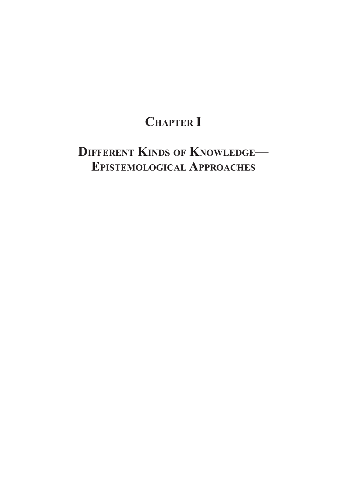## **Chapter I**

## **Different Kinds of Knowledge**— **Epistemological Approaches**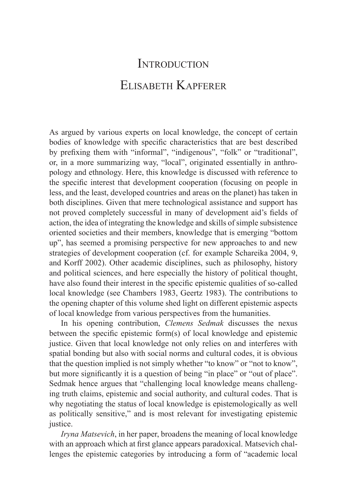## **INTRODUCTION** ELISABETH KAPFERER

As argued by various experts on local knowledge, the concept of certain bodies of knowledge with specific characteristics that are best described by prefixing them with "informal", "indigenous", "folk" or "traditional", or, in a more summarizing way, "local", originated essentially in anthropology and ethnology. Here, this knowledge is discussed with reference to the specific interest that development cooperation (focusing on people in less, and the least, developed countries and areas on the planet) has taken in both disciplines. Given that mere technological assistance and support has not proved completely successful in many of development aid's fields of action, the idea of integrating the knowledge and skills of simple subsistence oriented societies and their members, knowledge that is emerging "bottom up", has seemed a promising perspective for new approaches to and new strategies of development cooperation (cf. for example Schareika 2004, 9, and Korff 2002). Other academic disciplines, such as philosophy, history and political sciences, and here especially the history of political thought, have also found their interest in the specific epistemic qualities of so-called local knowledge (see Chambers 1983, Geertz 1983). The contributions to the opening chapter of this volume shed light on different epistemic aspects of local knowledge from various perspectives from the humanities.

In his opening contribution, *Clemens Sedmak* discusses the nexus between the specific epistemic form(s) of local knowledge and epistemic justice. Given that local knowledge not only relies on and interferes with spatial bonding but also with social norms and cultural codes, it is obvious that the question implied is not simply whether "to know" or "not to know", but more significantly it is a question of being "in place" or "out of place". Sedmak hence argues that "challenging local knowledge means challenging truth claims, epistemic and social authority, and cultural codes. That is why negotiating the status of local knowledge is epistemologically as well as politically sensitive," and is most relevant for investigating epistemic justice.

*Iryna Matsevich*, in her paper, broadens the meaning of local knowledge with an approach which at first glance appears paradoxical. Matsevich challenges the epistemic categories by introducing a form of "academic local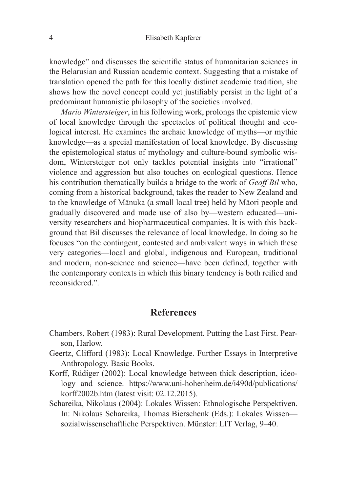knowledge" and discusses the scientific status of humanitarian sciences in the Belarusian and Russian academic context. Suggesting that a mistake of translation opened the path for this locally distinct academic tradition, she shows how the novel concept could yet justifiably persist in the light of a predominant humanistic philosophy of the societies involved.

*Mario Wintersteiger*, in his following work, prolongs the epistemic view of local knowledge through the spectacles of political thought and ecological interest. He examines the archaic knowledge of myths—or mythic knowledge—as a special manifestation of local knowledge. By discussing the epistemological status of mythology and culture-bound symbolic wisdom, Wintersteiger not only tackles potential insights into "irrational" violence and aggression but also touches on ecological questions. Hence his contribution thematically builds a bridge to the work of *Geoff Bil* who, coming from a historical background, takes the reader to New Zealand and to the knowledge of Mānuka (a small local tree) held by Māori people and gradually discovered and made use of also by—western educated—university researchers and biopharmaceutical companies. It is with this background that Bil discusses the relevance of local knowledge. In doing so he focuses "on the contingent, contested and ambivalent ways in which these very categories—local and global, indigenous and European, traditional and modern, non-science and science—have been defined, together with the contemporary contexts in which this binary tendency is both reified and reconsidered."

#### **References**

- Chambers, Robert (1983): Rural Development. Putting the Last First. Pearson, Harlow.
- Geertz, Clifford (1983): Local Knowledge. Further Essays in Interpretive Anthropology. Basic Books.
- Korff, Rüdiger (2002): Local knowledge between thick description, ideology and science. https://www.uni-hohenheim.de/i490d/publications/ korff2002b.htm (latest visit: 02.12.2015).
- Schareika, Nikolaus (2004): Lokales Wissen: Ethnologische Perspektiven. In: Nikolaus Schareika, Thomas Bierschenk (Eds.): Lokales Wissen sozialwissenschaftliche Perspektiven. Münster: LIT Verlag, 9–40.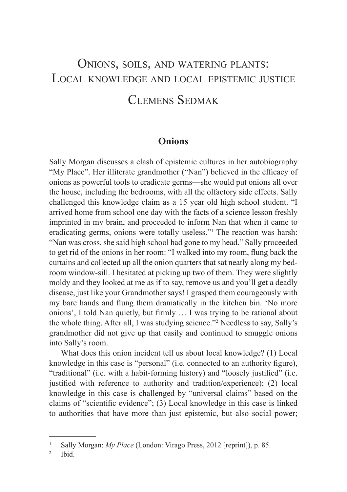## Onions, soils, and watering plants: Local knowledge and local epistemic justice Clemens Sedmak

### **Onions**

Sally Morgan discusses a clash of epistemic cultures in her autobiography "My Place". Her illiterate grandmother ("Nan") believed in the efficacy of onions as powerful tools to eradicate germs—she would put onions all over the house, including the bedrooms, with all the olfactory side effects. Sally challenged this knowledge claim as a 15 year old high school student. "I arrived home from school one day with the facts of a science lesson freshly imprinted in my brain, and proceeded to inform Nan that when it came to eradicating germs, onions were totally useless."<sup>1</sup> The reaction was harsh: "Nan was cross, she said high school had gone to my head." Sally proceeded to get rid of the onions in her room: "I walked into my room, flung back the curtains and collected up all the onion quarters that sat neatly along my bedroom window-sill. I hesitated at picking up two of them. They were slightly moldy and they looked at me as if to say, remove us and you'll get a deadly disease, just like your Grandmother says! I grasped them courageously with my bare hands and flung them dramatically in the kitchen bin. 'No more onions', I told Nan quietly, but firmly … I was trying to be rational about the whole thing. After all, I was studying science."2 Needless to say, Sally's grandmother did not give up that easily and continued to smuggle onions into Sally's room.

What does this onion incident tell us about local knowledge? (1) Local knowledge in this case is "personal" (i.e. connected to an authority figure), "traditional" (i.e. with a habit-forming history) and "loosely justified" (i.e. justified with reference to authority and tradition/experience); (2) local knowledge in this case is challenged by "universal claims" based on the claims of "scientific evidence"; (3) Local knowledge in this case is linked to authorities that have more than just epistemic, but also social power;

<sup>1</sup> Sally Morgan: *My Place* (London: Virago Press, 2012 [reprint]), p. 85.

<sup>2</sup> Ibid.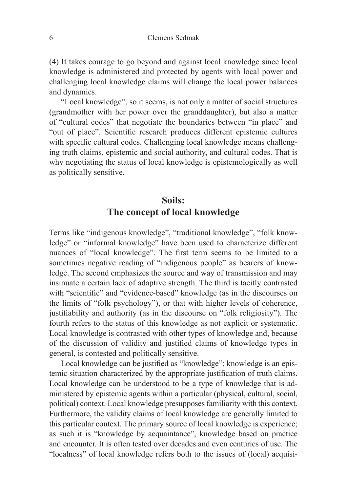(4) It takes courage to go beyond and against local knowledge since local knowledge is administered and protected by agents with local power and challenging local knowledge claims will change the local power balances and dynamics.

"Local knowledge", so it seems, is not only a matter of social structures (grandmother with her power over the granddaughter), but also a matter of "cultural codes" that negotiate the boundaries between "in place" and "out of place". Scientific research produces different epistemic cultures with specific cultural codes. Challenging local knowledge means challenging truth claims, epistemic and social authority, and cultural codes. That is why negotiating the status of local knowledge is epistemologically as well as politically sensitive.

## **Soils: The concept of local knowledge**

Terms like "indigenous knowledge", "traditional knowledge", "folk knowledge" or "informal knowledge" have been used to characterize different nuances of "local knowledge". The first term seems to be limited to a sometimes negative reading of "indigenous people" as bearers of knowledge. The second emphasizes the source and way of transmission and may insinuate a certain lack of adaptive strength. The third is tacitly contrasted with "scientific" and "evidence-based" knowledge (as in the discourses on the limits of "folk psychology"), or that with higher levels of coherence, justifiability and authority (as in the discourse on "folk religiosity"). The fourth refers to the status of this knowledge as not explicit or systematic. Local knowledge is contrasted with other types of knowledge and, because of the discussion of validity and justified claims of knowledge types in general, is contested and politically sensitive.

Local knowledge can be justified as "knowledge"; knowledge is an epistemic situation characterized by the appropriate justification of truth claims. Local knowledge can be understood to be a type of knowledge that is administered by epistemic agents within a particular (physical, cultural, social, political) context. Local knowledge presupposes familiarity with this context. Furthermore, the validity claims of local knowledge are generally limited to this particular context. The primary source of local knowledge is experience; as such it is "knowledge by acquaintance", knowledge based on practice and encounter. It is often tested over decades and even centuries of use. The "localness" of local knowledge refers both to the issues of (local) acquisi-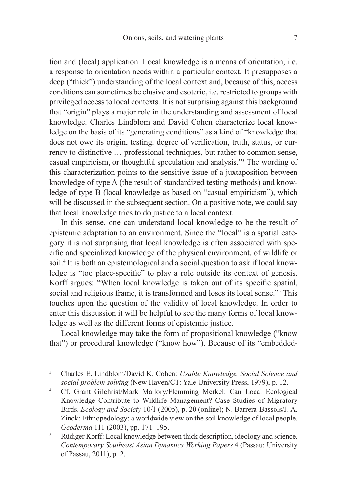tion and (local) application. Local knowledge is a means of orientation, i.e. a response to orientation needs within a particular context. It presupposes a deep ("thick") understanding of the local context and, because of this, access conditions can sometimes be elusive and esoteric, i.e. restricted to groups with privileged access to local contexts. It is not surprising against this background that "origin" plays a major role in the understanding and assessment of local knowledge. Charles Lindblom and David Cohen characterize local knowledge on the basis of its "generating conditions" as a kind of "knowledge that does not owe its origin, testing, degree of verification, truth, status, or currency to distinctive … professional techniques, but rather to common sense, casual empiricism, or thoughtful speculation and analysis."3 The wording of this characterization points to the sensitive issue of a juxtaposition between knowledge of type A (the result of standardized testing methods) and knowledge of type B (local knowledge as based on "casual empiricism"), which will be discussed in the subsequent section. On a positive note, we could say that local knowledge tries to do justice to a local context.

In this sense, one can understand local knowledge to be the result of epistemic adaptation to an environment. Since the "local" is a spatial category it is not surprising that local knowledge is often associated with specific and specialized knowledge of the physical environment, of wildlife or soil.4 It is both an epistemological and a social question to ask if local knowledge is "too place-specific" to play a role outside its context of genesis. Korff argues: "When local knowledge is taken out of its specific spatial, social and religious frame, it is transformed and loses its local sense."<sup>5</sup> This touches upon the question of the validity of local knowledge. In order to enter this discussion it will be helpful to see the many forms of local knowledge as well as the different forms of epistemic justice.

Local knowledge may take the form of propositional knowledge ("know that") or procedural knowledge ("know how"). Because of its "embedded-

<sup>3</sup> Charles E. Lindblom/David K. Cohen: *Usable Knowledge. Social Science and social problem solving* (New Haven/CT: Yale University Press, 1979), p. 12.

<sup>4</sup> Cf. Grant Gilchrist/Mark Mallory/Flemming Merkel: Can Local Ecological Knowledge Contribute to Wildlife Management? Case Studies of Migratory Birds. *Ecology and Society* 10/1 (2005), p. 20 (online); N. Barrera-Bassols/J. A. Zinck: Ethnopedology: a worldwide view on the soil knowledge of local people. *Geoderma* 111 (2003), pp. 171–195.

<sup>&</sup>lt;sup>5</sup> Rüdiger Korff: Local knowledge between thick description, ideology and science. *Contemporary Southeast Asian Dynamics Working Papers* 4 (Passau: University of Passau, 2011), p. 2.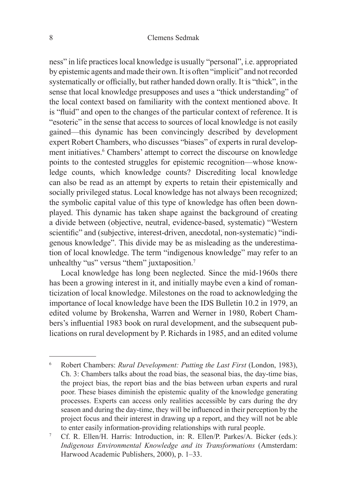ness" in life practices local knowledge is usually "personal", i.e. appropriated by epistemic agents and made their own. It is often "implicit" and not recorded systematically or officially, but rather handed down orally. It is "thick", in the sense that local knowledge presupposes and uses a "thick understanding" of the local context based on familiarity with the context mentioned above. It is "fluid" and open to the changes of the particular context of reference. It is "esoteric" in the sense that access to sources of local knowledge is not easily gained—this dynamic has been convincingly described by development expert Robert Chambers, who discusses "biases" of experts in rural development initiatives.<sup>6</sup> Chambers' attempt to correct the discourse on knowledge points to the contested struggles for epistemic recognition—whose knowledge counts, which knowledge counts? Discrediting local knowledge can also be read as an attempt by experts to retain their epistemically and socially privileged status. Local knowledge has not always been recognized; the symbolic capital value of this type of knowledge has often been downplayed. This dynamic has taken shape against the background of creating a divide between (objective, neutral, evidence-based, systematic) "Western scientific" and (subjective, interest-driven, anecdotal, non-systematic) "indigenous knowledge". This divide may be as misleading as the underestimation of local knowledge. The term "indigenous knowledge" may refer to an unhealthy "us" versus "them" juxtaposition.<sup>7</sup>

Local knowledge has long been neglected. Since the mid-1960s there has been a growing interest in it, and initially maybe even a kind of romanticization of local knowledge. Milestones on the road to acknowledging the importance of local knowledge have been the IDS Bulletin 10.2 in 1979, an edited volume by Brokensha, Warren and Werner in 1980, Robert Chambers's influential 1983 book on rural development, and the subsequent publications on rural development by P. Richards in 1985, and an edited volume

<sup>6</sup> Robert Chambers: *Rural Development: Putting the Last First* (London, 1983), Ch. 3: Chambers talks about the road bias, the seasonal bias, the day-time bias, the project bias, the report bias and the bias between urban experts and rural poor. These biases diminish the epistemic quality of the knowledge generating processes. Experts can access only realities accessible by cars during the dry season and during the day-time, they will be influenced in their perception by the project focus and their interest in drawing up a report, and they will not be able to enter easily information-providing relationships with rural people.

<sup>7</sup> Cf. R. Ellen/H. Harris: Introduction, in: R. Ellen/P. Parkes/A. Bicker (eds.): *Indigenous Environmental Knowledge and its Transformations* (Amsterdam: Harwood Academic Publishers, 2000), p. 1–33.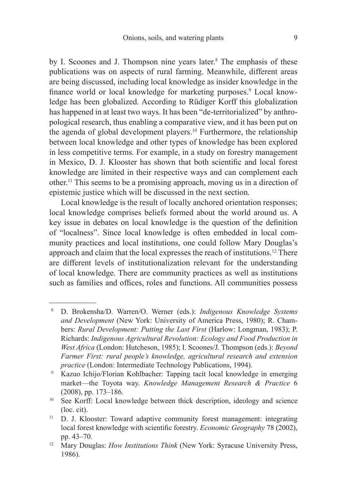by I. Scoones and J. Thompson nine years later.<sup>8</sup> The emphasis of these publications was on aspects of rural farming. Meanwhile, different areas are being discussed, including local knowledge as insider knowledge in the finance world or local knowledge for marketing purposes.<sup>9</sup> Local knowledge has been globalized. According to Rüdiger Korff this globalization has happened in at least two ways. It has been "de-territorialized" by anthropological research, thus enabling a comparative view, and it has been put on the agenda of global development players.10 Furthermore, the relationship between local knowledge and other types of knowledge has been explored in less competitive terms. For example, in a study on forestry management in Mexico, D. J. Klooster has shown that both scientific and local forest knowledge are limited in their respective ways and can complement each other.11 This seems to be a promising approach, moving us in a direction of epistemic justice which will be discussed in the next section.

Local knowledge is the result of locally anchored orientation responses; local knowledge comprises beliefs formed about the world around us. A key issue in debates on local knowledge is the question of the definition of "localness". Since local knowledge is often embedded in local community practices and local institutions, one could follow Mary Douglas's approach and claim that the local expresses the reach of institutions.12 There are different levels of institutionalization relevant for the understanding of local knowledge. There are community practices as well as institutions such as families and offices, roles and functions. All communities possess

<sup>8</sup> D. Brokensha/D. Warren/O. Werner (eds.): *Indigenous Knowledge Systems and Development* (New York: University of America Press, 1980); R. Chambers: *Rural Development: Putting the Last First* (Harlow: Longman, 1983); P. Richards: *Indigenous Agricultural Revolution: Ecology and Food Production in West Africa* (London: Hutcheson, 1985); I. Scoones/J. Thompson (eds.): *Beyond Farmer First: rural people's knowledge, agricultural research and extension practice* (London: Intermediate Technology Publications, 1994).

<sup>9</sup> Kazuo Ichijo/Florian Kohlbacher: Tapping tacit local knowledge in emerging market—the Toyota way. *Knowledge Management Research & Practice* 6 (2008), pp. 173–186.

<sup>&</sup>lt;sup>10</sup> See Korff: Local knowledge between thick description, ideology and science (loc. cit).

<sup>11</sup> D. J. Klooster: Toward adaptive community forest management: integrating local forest knowledge with scientific forestry. *Economic Geography* 78 (2002), pp. 43–70.

<sup>&</sup>lt;sup>12</sup> Mary Douglas: *How Institutions Think* (New York: Syracuse University Press, 1986).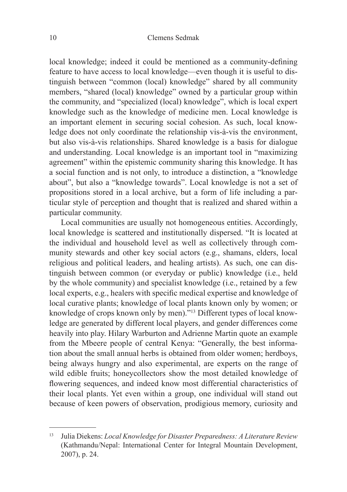local knowledge; indeed it could be mentioned as a community-defining feature to have access to local knowledge—even though it is useful to distinguish between "common (local) knowledge" shared by all community members, "shared (local) knowledge" owned by a particular group within the community, and "specialized (local) knowledge", which is local expert knowledge such as the knowledge of medicine men. Local knowledge is an important element in securing social cohesion. As such, local knowledge does not only coordinate the relationship vis-à-vis the environment, but also vis-à-vis relationships. Shared knowledge is a basis for dialogue and understanding. Local knowledge is an important tool in "maximizing agreement" within the epistemic community sharing this knowledge. It has a social function and is not only, to introduce a distinction, a "knowledge about", but also a "knowledge towards". Local knowledge is not a set of propositions stored in a local archive, but a form of life including a particular style of perception and thought that is realized and shared within a particular community.

Local communities are usually not homogeneous entities. Accordingly, local knowledge is scattered and institutionally dispersed. "It is located at the individual and household level as well as collectively through community stewards and other key social actors (e.g., shamans, elders, local religious and political leaders, and healing artists). As such, one can distinguish between common (or everyday or public) knowledge (i.e., held by the whole community) and specialist knowledge (i.e., retained by a few local experts, e.g., healers with specific medical expertise and knowledge of local curative plants; knowledge of local plants known only by women; or knowledge of crops known only by men)."13 Different types of local knowledge are generated by different local players, and gender differences come heavily into play. Hilary Warburton and Adrienne Martin quote an example from the Mbeere people of central Kenya: "Generally, the best information about the small annual herbs is obtained from older women; herdboys, being always hungry and also experimental, are experts on the range of wild edible fruits; honeycollectors show the most detailed knowledge of flowering sequences, and indeed know most differential characteristics of their local plants. Yet even within a group, one individual will stand out because of keen powers of observation, prodigious memory, curiosity and

<sup>13</sup> Julia Diekens: *Local Knowledge for Disaster Preparedness: A Literature Review*  (Kathmandu/Nepal: International Center for Integral Mountain Development, 2007), p. 24.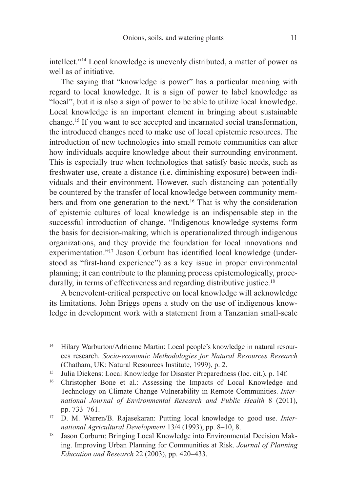intellect."14 Local knowledge is unevenly distributed, a matter of power as well as of initiative.

The saying that "knowledge is power" has a particular meaning with regard to local knowledge. It is a sign of power to label knowledge as "local", but it is also a sign of power to be able to utilize local knowledge. Local knowledge is an important element in bringing about sustainable change.15 If you want to see accepted and incarnated social transformation, the introduced changes need to make use of local epistemic resources. The introduction of new technologies into small remote communities can alter how individuals acquire knowledge about their surrounding environment. This is especially true when technologies that satisfy basic needs, such as freshwater use, create a distance (i.e. diminishing exposure) between individuals and their environment. However, such distancing can potentially be countered by the transfer of local knowledge between community members and from one generation to the next.<sup>16</sup> That is why the consideration of epistemic cultures of local knowledge is an indispensable step in the successful introduction of change. "Indigenous knowledge systems form the basis for decision-making, which is operationalized through indigenous organizations, and they provide the foundation for local innovations and experimentation."17 Jason Corburn has identified local knowledge (understood as "first-hand experience") as a key issue in proper environmental planning; it can contribute to the planning process epistemologically, procedurally, in terms of effectiveness and regarding distributive justice.<sup>18</sup>

A benevolent-critical perspective on local knowledge will acknowledge its limitations. John Briggs opens a study on the use of indigenous knowledge in development work with a statement from a Tanzanian small-scale

<sup>&</sup>lt;sup>14</sup> Hilary Warburton/Adrienne Martin: Local people's knowledge in natural resources research. *Socio-economic Methodologies for Natural Resources Research* (Chatham, UK: Natural Resources Institute, 1999), p. 2.

<sup>&</sup>lt;sup>15</sup> Julia Diekens: Local Knowledge for Disaster Preparedness (loc. cit.), p. 14f.

<sup>16</sup> Christopher Bone et al.: Assessing the Impacts of Local Knowledge and Technology on Climate Change Vulnerability in Remote Communities. *International Journal of Environmental Research and Public Health* 8 (2011), pp. 733–761.

<sup>17</sup> D. M. Warren/B. Rajasekaran: Putting local knowledge to good use. *International Agricultural Development* 13/4 (1993), pp. 8–10, 8.

<sup>18</sup> Jason Corburn: Bringing Local Knowledge into Environmental Decision Making. Improving Urban Planning for Communities at Risk. *Journal of Planning Education and Research* 22 (2003), pp. 420–433.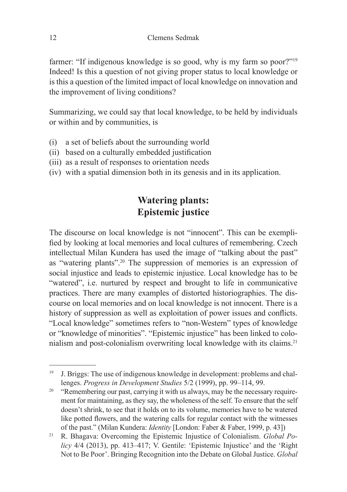farmer: "If indigenous knowledge is so good, why is my farm so poor?"<sup>19</sup> Indeed! Is this a question of not giving proper status to local knowledge or is this a question of the limited impact of local knowledge on innovation and the improvement of living conditions?

Summarizing, we could say that local knowledge, to be held by individuals or within and by communities, is

- (i) a set of beliefs about the surrounding world
- (ii) based on a culturally embedded justification
- (iii) as a result of responses to orientation needs
- (iv) with a spatial dimension both in its genesis and in its application.

## **Watering plants: Epistemic justice**

The discourse on local knowledge is not "innocent". This can be exemplified by looking at local memories and local cultures of remembering. Czech intellectual Milan Kundera has used the image of "talking about the past" as "watering plants".20 The suppression of memories is an expression of social injustice and leads to epistemic injustice. Local knowledge has to be "watered", i.e. nurtured by respect and brought to life in communicative practices. There are many examples of distorted historiographies. The discourse on local memories and on local knowledge is not innocent. There is a history of suppression as well as exploitation of power issues and conflicts. "Local knowledge" sometimes refers to "non-Western" types of knowledge or "knowledge of minorities". "Epistemic injustice" has been linked to colonialism and post-colonialism overwriting local knowledge with its claims.<sup>21</sup>

<sup>&</sup>lt;sup>19</sup> J. Briggs: The use of indigenous knowledge in development: problems and challenges. *Progress in Development Studies* 5/2 (1999), pp. 99–114, 99.

<sup>&</sup>lt;sup>20</sup> "Remembering our past, carrying it with us always, may be the necessary requirement for maintaining, as they say, the wholeness of the self. To ensure that the self doesn't shrink, to see that it holds on to its volume, memories have to be watered like potted flowers, and the watering calls for regular contact with the witnesses of the past." (Milan Kundera: *Identity* [London: Faber & Faber, 1999, p. 43])

<sup>21</sup> R. Bhagava: Overcoming the Epistemic Injustice of Colonialism. *Global Policy* 4/4 (2013), pp. 413–417; V. Gentile: 'Epistemic Injustice' and the 'Right Not to Be Poor'. Bringing Recognition into the Debate on Global Justice. *Global*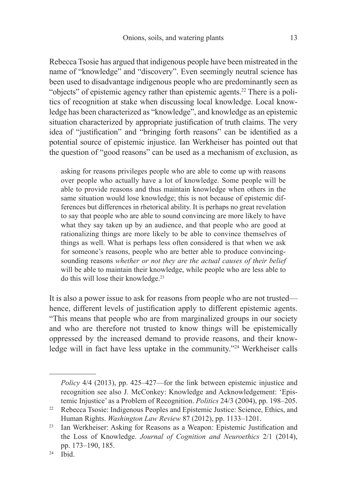Rebecca Tsosie has argued that indigenous people have been mistreated in the name of "knowledge" and "discovery". Even seemingly neutral science has been used to disadvantage indigenous people who are predominantly seen as "objects" of epistemic agency rather than epistemic agents.22 There is a politics of recognition at stake when discussing local knowledge. Local knowledge has been characterized as "knowledge", and knowledge as an epistemic situation characterized by appropriate justification of truth claims. The very idea of "justification" and "bringing forth reasons" can be identified as a potential source of epistemic injustice. Ian Werkheiser has pointed out that the question of "good reasons" can be used as a mechanism of exclusion, as

asking for reasons privileges people who are able to come up with reasons over people who actually have a lot of knowledge. Some people will be able to provide reasons and thus maintain knowledge when others in the same situation would lose knowledge; this is not because of epistemic differences but differences in rhetorical ability. It is perhaps no great revelation to say that people who are able to sound convincing are more likely to have what they say taken up by an audience, and that people who are good at rationalizing things are more likely to be able to convince themselves of things as well. What is perhaps less often considered is that when we ask for someone's reasons, people who are better able to produce convincingsounding reasons *whether or not they are the actual causes of their belief*  will be able to maintain their knowledge, while people who are less able to do this will lose their knowledge.23

It is also a power issue to ask for reasons from people who are not trusted hence, different levels of justification apply to different epistemic agents. "This means that people who are from marginalized groups in our society and who are therefore not trusted to know things will be epistemically oppressed by the increased demand to provide reasons, and their knowledge will in fact have less uptake in the community."<sup>24</sup> Werkheiser calls

*Policy* 4/4 (2013), pp. 425–427—for the link between epistemic injustice and recognition see also J. McConkey: Knowledge and Acknowledgement: 'Epistemic Injustice' as a Problem of Recognition. *Politics* 24/3 (2004), pp. 198–205.

<sup>&</sup>lt;sup>22</sup> Rebecca Tsosie: Indigenous Peoples and Epistemic Justice: Science, Ethics, and Human Rights. *Washington Law Review* 87 (2012), pp. 1133–1201.

<sup>&</sup>lt;sup>23</sup> Ian Werkheiser: Asking for Reasons as a Weapon: Epistemic Justification and the Loss of Knowledge. *Journal of Cognition and Neuroethics* 2/1 (2014), pp. 173–190, 185.

 $24 \overrightarrow{1}$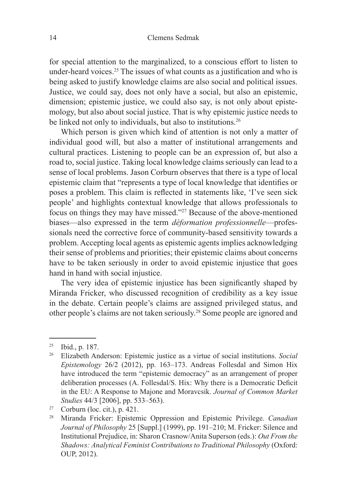for special attention to the marginalized, to a conscious effort to listen to under-heard voices.<sup>25</sup> The issues of what counts as a justification and who is being asked to justify knowledge claims are also social and political issues. Justice, we could say, does not only have a social, but also an epistemic, dimension; epistemic justice, we could also say, is not only about epistemology, but also about social justice. That is why epistemic justice needs to be linked not only to individuals, but also to institutions.<sup>26</sup>

Which person is given which kind of attention is not only a matter of individual good will, but also a matter of institutional arrangements and cultural practices. Listening to people can be an expression of, but also a road to, social justice. Taking local knowledge claims seriously can lead to a sense of local problems. Jason Corburn observes that there is a type of local epistemic claim that "represents a type of local knowledge that identifies or poses a problem. This claim is reflected in statements like, 'I've seen sick people' and highlights contextual knowledge that allows professionals to focus on things they may have missed."27 Because of the above-mentioned biases—also expressed in the term *déformation professionnelle*—professionals need the corrective force of community-based sensitivity towards a problem. Accepting local agents as epistemic agents implies acknowledging their sense of problems and priorities; their epistemic claims about concerns have to be taken seriously in order to avoid epistemic injustice that goes hand in hand with social injustice.

The very idea of epistemic injustice has been significantly shaped by Miranda Fricker, who discussed recognition of credibility as a key issue in the debate. Certain people's claims are assigned privileged status, and other people's claims are not taken seriously.28 Some people are ignored and

<sup>25</sup> Ibid., p. 187.

<sup>26</sup> Elizabeth Anderson: Epistemic justice as a virtue of social institutions. *Social Epistemology* 26/2 (2012), pp. 163–173. Andreas Follesdal and Simon Hix have introduced the term "epistemic democracy" as an arrangement of proper deliberation processes (A. Follesdal/S. Hix: Why there is a Democratic Deficit in the EU: A Response to Majone and Moravcsik. *Journal of Common Market Studies* 44/3 [2006], pp. 533–563).

<sup>&</sup>lt;sup>27</sup> Corburn (loc. cit.), p. 421.

<sup>28</sup> Miranda Fricker: Epistemic Oppression and Epistemic Privilege. *Canadian Journal of Philosophy* 25 [Suppl.] (1999), pp. 191–210; M. Fricker: Silence and Institutional Prejudice, in: Sharon Crasnow/Anita Superson (eds.): *Out From the Shadows: Analytical Feminist Contributions to Traditional Philosophy* (Oxford: OUP, 2012).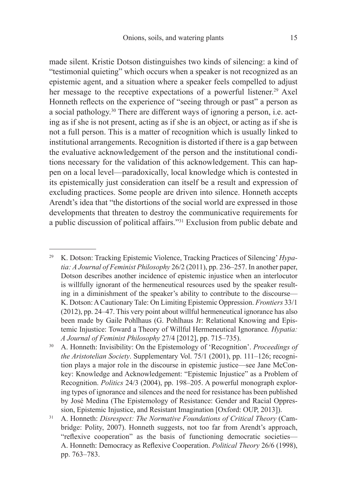made silent. Kristie Dotson distinguishes two kinds of silencing: a kind of "testimonial quieting" which occurs when a speaker is not recognized as an epistemic agent, and a situation where a speaker feels compelled to adjust her message to the receptive expectations of a powerful listener.<sup>29</sup> Axel Honneth reflects on the experience of "seeing through or past" a person as a social pathology.30 There are different ways of ignoring a person, i.e. acting as if she is not present, acting as if she is an object, or acting as if she is not a full person. This is a matter of recognition which is usually linked to institutional arrangements. Recognition is distorted if there is a gap between the evaluative acknowledgement of the person and the institutional conditions necessary for the validation of this acknowledgement. This can happen on a local level—paradoxically, local knowledge which is contested in its epistemically just consideration can itself be a result and expression of excluding practices. Some people are driven into silence. Honneth accepts Arendt's idea that "the distortions of the social world are expressed in those developments that threaten to destroy the communicative requirements for a public discussion of political affairs."31 Exclusion from public debate and

<sup>29</sup> K. Dotson: Tracking Epistemic Violence, Tracking Practices of Silencing' *Hypatia: A Journal of Feminist Philosophy* 26/2 (2011), pp. 236–257. In another paper, Dotson describes another incidence of epistemic injustice when an interlocutor is willfully ignorant of the hermeneutical resources used by the speaker resulting in a diminishment of the speaker's ability to contribute to the discourse— K. Dotson: A Cautionary Tale: On Limiting Epistemic Oppression. *Frontiers* 33/1 (2012), pp. 24–47. This very point about willful hermeneutical ignorance has also been made by Gaile Pohlhaus (G. Pohlhaus Jr: Relational Knowing and Epistemic Injustice: Toward a Theory of Willful Hermeneutical Ignorance*. Hypatia: A Journal of Feminist Philosophy* 27/4 [2012], pp. 715–735).

<sup>30</sup> A. Honneth: Invisibility: On the Epistemology of 'Recognition'. *Proceedings of the Aristotelian Society*. Supplementary Vol. 75/1 (2001), pp. 111–126; recognition plays a major role in the discourse in epistemic justice—see Jane McConkey: Knowledge and Acknowledgement: "Epistemic Injustice" as a Problem of Recognition. *Politics* 24/3 (2004), pp. 198–205. A powerful monograph exploring types of ignorance and silences and the need for resistance has been published by José Medina (The Epistemology of Resistance: Gender and Racial Oppression, Epistemic Injustice, and Resistant Imagination [Oxford: OUP, 2013]).

<sup>31</sup> A. Honneth: *Disrespect: The Normative Foundations of Critical Theory* (Cambridge: Polity, 2007). Honneth suggests, not too far from Arendt's approach, "reflexive cooperation" as the basis of functioning democratic societies— A. Honneth: Democracy as Reflexive Cooperation. *Political Theory* 26/6 (1998), pp. 763–783.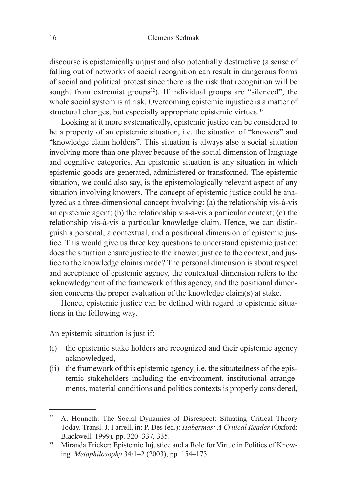discourse is epistemically unjust and also potentially destructive (a sense of falling out of networks of social recognition can result in dangerous forms of social and political protest since there is the risk that recognition will be sought from extremist groups $32$ ). If individual groups are "silenced", the whole social system is at risk. Overcoming epistemic injustice is a matter of structural changes, but especially appropriate epistemic virtues.<sup>33</sup>

Looking at it more systematically, epistemic justice can be considered to be a property of an epistemic situation, i.e. the situation of "knowers" and "knowledge claim holders". This situation is always also a social situation involving more than one player because of the social dimension of language and cognitive categories. An epistemic situation is any situation in which epistemic goods are generated, administered or transformed. The epistemic situation, we could also say, is the epistemologically relevant aspect of any situation involving knowers. The concept of epistemic justice could be analyzed as a three-dimensional concept involving: (a) the relationship vis-à-vis an epistemic agent; (b) the relationship vis-à-vis a particular context; (c) the relationship vis-à-vis a particular knowledge claim. Hence, we can distinguish a personal, a contextual, and a positional dimension of epistemic justice. This would give us three key questions to understand epistemic justice: does the situation ensure justice to the knower, justice to the context, and justice to the knowledge claims made? The personal dimension is about respect and acceptance of epistemic agency, the contextual dimension refers to the acknowledgment of the framework of this agency, and the positional dimension concerns the proper evaluation of the knowledge claim(s) at stake.

Hence, epistemic justice can be defined with regard to epistemic situations in the following way.

An epistemic situation is just if:

- (i) the epistemic stake holders are recognized and their epistemic agency acknowledged,
- (ii) the framework of this epistemic agency, i.e. the situatedness of the epistemic stakeholders including the environment, institutional arrangements, material conditions and politics contexts is properly considered,

<sup>&</sup>lt;sup>32</sup> A. Honneth: The Social Dynamics of Disrespect: Situating Critical Theory Today. Transl. J. Farrell, in: P. Des (ed.): *Habermas: A Critical Reader* (Oxford: Blackwell, 1999), pp. 320–337, 335.

<sup>&</sup>lt;sup>33</sup> Miranda Fricker: Epistemic Injustice and a Role for Virtue in Politics of Knowing. *Metaphilosophy* 34/1–2 (2003), pp. 154–173.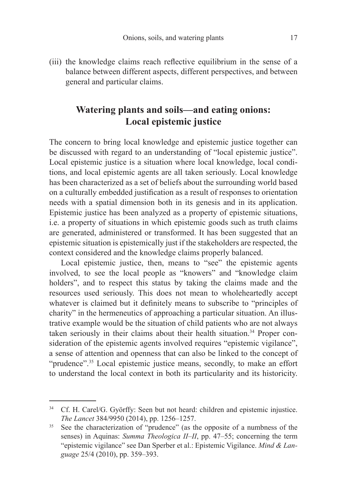(iii) the knowledge claims reach reflective equilibrium in the sense of a balance between different aspects, different perspectives, and between general and particular claims.

## **Watering plants and soils—and eating onions: Local epistemic justice**

The concern to bring local knowledge and epistemic justice together can be discussed with regard to an understanding of "local epistemic justice". Local epistemic justice is a situation where local knowledge, local conditions, and local epistemic agents are all taken seriously. Local knowledge has been characterized as a set of beliefs about the surrounding world based on a culturally embedded justification as a result of responses to orientation needs with a spatial dimension both in its genesis and in its application. Epistemic justice has been analyzed as a property of epistemic situations, i.e. a property of situations in which epistemic goods such as truth claims are generated, administered or transformed. It has been suggested that an epistemic situation is epistemically just if the stakeholders are respected, the context considered and the knowledge claims properly balanced.

Local epistemic justice, then, means to "see" the epistemic agents involved, to see the local people as "knowers" and "knowledge claim holders", and to respect this status by taking the claims made and the resources used seriously. This does not mean to wholeheartedly accept whatever is claimed but it definitely means to subscribe to "principles of charity" in the hermeneutics of approaching a particular situation. An illustrative example would be the situation of child patients who are not always taken seriously in their claims about their health situation.<sup>34</sup> Proper consideration of the epistemic agents involved requires "epistemic vigilance". a sense of attention and openness that can also be linked to the concept of "prudence".35 Local epistemic justice means, secondly, to make an effort to understand the local context in both its particularity and its historicity.

<sup>34</sup> Cf. H. Carel/G. Györffy: Seen but not heard: children and epistemic injustice. *The Lancet* 384/9950 (2014), pp. 1256–1257.

See the characterization of "prudence" (as the opposite of a numbness of the senses) in Aquinas: *Summa Theologica II–II*, pp. 47–55; concerning the term "epistemic vigilance" see Dan Sperber et al.: Epistemic Vigilance. *Mind & Language* 25/4 (2010), pp. 359–393.